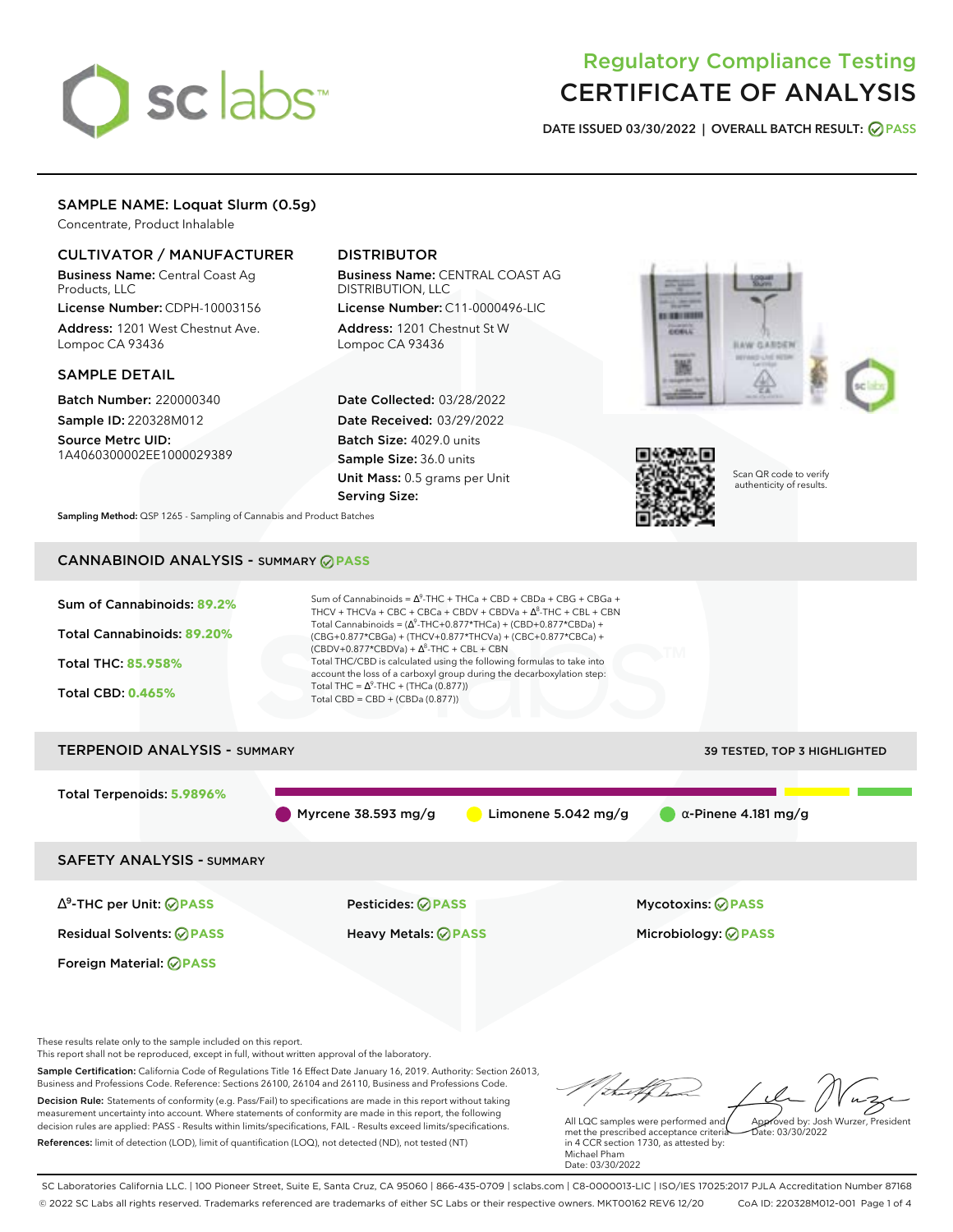# sclabs<sup>\*</sup>

# Regulatory Compliance Testing CERTIFICATE OF ANALYSIS

**DATE ISSUED 03/30/2022 | OVERALL BATCH RESULT: PASS**

### SAMPLE NAME: Loquat Slurm (0.5g)

Concentrate, Product Inhalable

#### CULTIVATOR / MANUFACTURER

Business Name: Central Coast Ag Products, LLC

License Number: CDPH-10003156 Address: 1201 West Chestnut Ave. Lompoc CA 93436

#### SAMPLE DETAIL

Batch Number: 220000340 Sample ID: 220328M012

Source Metrc UID: 1A4060300002EE1000029389

### DISTRIBUTOR

Business Name: CENTRAL COAST AG DISTRIBUTION, LLC License Number: C11-0000496-LIC

Address: 1201 Chestnut St W Lompoc CA 93436

Date Collected: 03/28/2022 Date Received: 03/29/2022 Batch Size: 4029.0 units Sample Size: 36.0 units Unit Mass: 0.5 grams per Unit Serving Size:





Scan QR code to verify authenticity of results.

**Sampling Method:** QSP 1265 - Sampling of Cannabis and Product Batches

# CANNABINOID ANALYSIS - SUMMARY **PASS**



This report shall not be reproduced, except in full, without written approval of the laboratory.

Sample Certification: California Code of Regulations Title 16 Effect Date January 16, 2019. Authority: Section 26013, Business and Professions Code. Reference: Sections 26100, 26104 and 26110, Business and Professions Code. Decision Rule: Statements of conformity (e.g. Pass/Fail) to specifications are made in this report without taking measurement uncertainty into account. Where statements of conformity are made in this report, the following decision rules are applied: PASS - Results within limits/specifications, FAIL - Results exceed limits/specifications.

References: limit of detection (LOD), limit of quantification (LOQ), not detected (ND), not tested (NT)

tal fCh All LQC samples were performed and Approved by: Josh Wurzer, President

 $\frac{1}{2}$ ate: 03/30/2022

met the prescribed acceptance criteria in 4 CCR section 1730, as attested by: Michael Pham Date: 03/30/2022

SC Laboratories California LLC. | 100 Pioneer Street, Suite E, Santa Cruz, CA 95060 | 866-435-0709 | sclabs.com | C8-0000013-LIC | ISO/IES 17025:2017 PJLA Accreditation Number 87168 © 2022 SC Labs all rights reserved. Trademarks referenced are trademarks of either SC Labs or their respective owners. MKT00162 REV6 12/20 CoA ID: 220328M012-001 Page 1 of 4